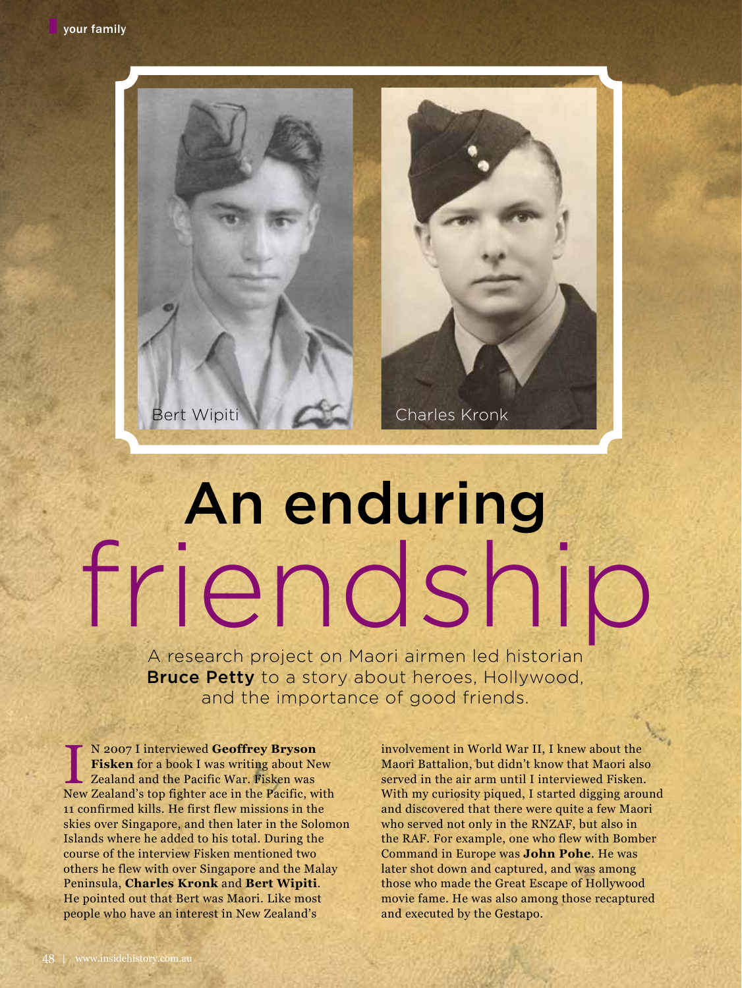

## An enduring friendship

A research project on Maori airmen led historian **Bruce Petty** to a story about heroes, Hollywood, and the importance of good friends.

N 2007 I interviewed Geoffrey Bryson<br>Fisken for a book I was writing about New<br>Zealand and the Pacific War. Fisken was<br>New Zealand's top fighter ace in the Pacific, with N 2007 I interviewed **Geoffrey Bryson Fisken** for a book I was writing about New Zealand and the Pacific War. Fisken was 11 confirmed kills. He first flew missions in the skies over Singapore, and then later in the Solomon Islands where he added to his total. During the course of the interview Fisken mentioned two others he flew with over Singapore and the Malay Peninsula, **Charles Kronk** and **Bert Wipiti**. He pointed out that Bert was Maori. Like most people who have an interest in New Zealand's

involvement in World War II, I knew about the Maori Battalion, but didn't know that Maori also served in the air arm until I interviewed Fisken. With my curiosity piqued, I started digging around and discovered that there were quite a few Maori who served not only in the RNZAF, but also in the RAF. For example, one who flew with Bomber Command in Europe was **John Pohe**. He was later shot down and captured, and was among those who made the Great Escape of Hollywood movie fame. He was also among those recaptured and executed by the Gestapo.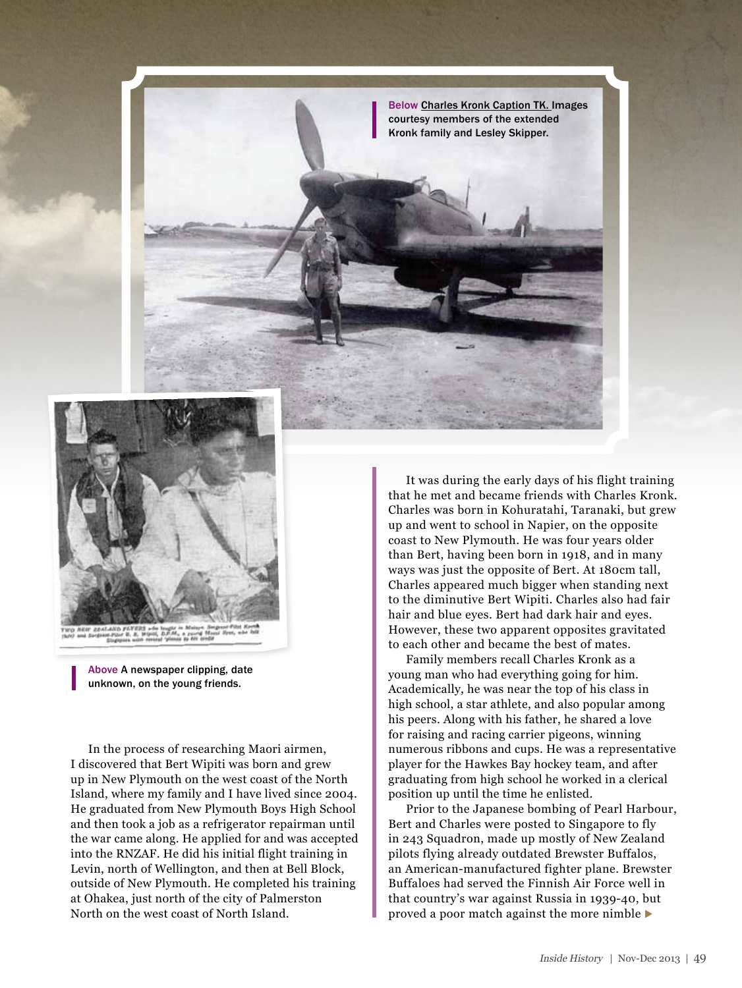



Above A newspaper clipping, date unknown, on the young friends.

In the process of researching Maori airmen, I discovered that Bert Wipiti was born and grew up in New Plymouth on the west coast of the North Island, where my family and I have lived since 2004. He graduated from New Plymouth Boys High School and then took a job as a refrigerator repairman until the war came along. He applied for and was accepted into the RNZAF. He did his initial flight training in Levin, north of Wellington, and then at Bell Block, outside of New Plymouth. He completed his training at Ohakea, just north of the city of Palmerston North on the west coast of North Island.

It was during the early days of his flight training that he met and became friends with Charles Kronk. Charles was born in Kohuratahi, Taranaki, but grew up and went to school in Napier, on the opposite coast to New Plymouth. He was four years older than Bert, having been born in 1918, and in many ways was just the opposite of Bert. At 180cm tall, Charles appeared much bigger when standing next to the diminutive Bert Wipiti. Charles also had fair hair and blue eyes. Bert had dark hair and eyes. However, these two apparent opposites gravitated to each other and became the best of mates.

Family members recall Charles Kronk as a young man who had everything going for him. Academically, he was near the top of his class in high school, a star athlete, and also popular among his peers. Along with his father, he shared a love for raising and racing carrier pigeons, winning numerous ribbons and cups. He was a representative player for the Hawkes Bay hockey team, and after graduating from high school he worked in a clerical position up until the time he enlisted.

Prior to the Japanese bombing of Pearl Harbour, Bert and Charles were posted to Singapore to fly in 243 Squadron, made up mostly of New Zealand pilots flying already outdated Brewster Buffalos, an American-manufactured fighter plane. Brewster Buffaloes had served the Finnish Air Force well in that country's war against Russia in 1939-40, but proved a poor match against the more nimble  $\blacktriangleright$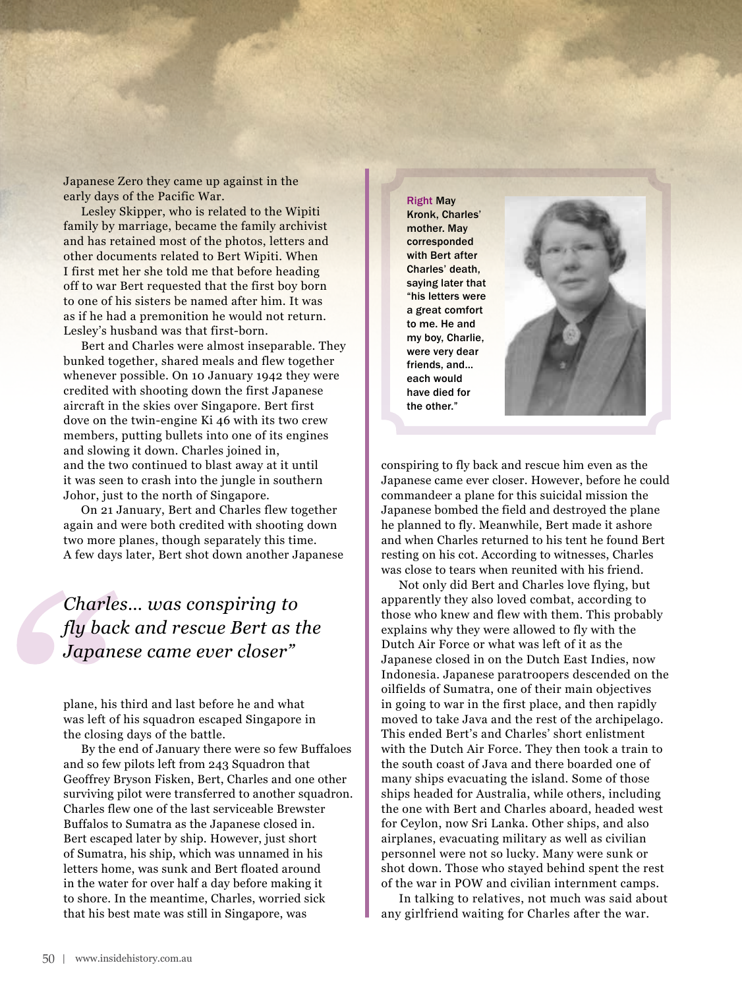Japanese Zero they came up against in the early days of the Pacific War.

Lesley Skipper, who is related to the Wipiti family by marriage, became the family archivist and has retained most of the photos, letters and other documents related to Bert Wipiti. When I first met her she told me that before heading off to war Bert requested that the first boy born to one of his sisters be named after him. It was as if he had a premonition he would not return. Lesley's husband was that first-born.

Bert and Charles were almost inseparable. They bunked together, shared meals and flew together whenever possible. On 10 January 1942 they were credited with shooting down the first Japanese aircraft in the skies over Singapore. Bert first dove on the twin-engine Ki 46 with its two crew members, putting bullets into one of its engines and slowing it down. Charles joined in, and the two continued to blast away at it until it was seen to crash into the jungle in southern Johor, just to the north of Singapore.

On 21 January, Bert and Charles flew together again and were both credited with shooting down two more planes, though separately this time. A few days later, Bert shot down another Japanese

## *Charles… was conspiring to fly back and rescue Bert as the Japanese came ever closer"*

plane, his third and last before he and what was left of his squadron escaped Singapore in the closing days of the battle.

By the end of January there were so few Buffaloes and so few pilots left from 243 Squadron that Geoffrey Bryson Fisken, Bert, Charles and one other surviving pilot were transferred to another squadron. Charles flew one of the last serviceable Brewster Buffalos to Sumatra as the Japanese closed in. Bert escaped later by ship. However, just short of Sumatra, his ship, which was unnamed in his letters home, was sunk and Bert floated around in the water for over half a day before making it to shore. In the meantime, Charles, worried sick that his best mate was still in Singapore, was

Right May Kronk, Charles' mother. May corresponded with Bert after Charles' death, saying later that "his letters were a great comfort to me. He and my boy, Charlie, were very dear friends, and… each would have died for the other."



conspiring to fly back and rescue him even as the Japanese came ever closer. However, before he could commandeer a plane for this suicidal mission the Japanese bombed the field and destroyed the plane he planned to fly. Meanwhile, Bert made it ashore and when Charles returned to his tent he found Bert resting on his cot. According to witnesses, Charles was close to tears when reunited with his friend.

Not only did Bert and Charles love flying, but apparently they also loved combat, according to those who knew and flew with them. This probably explains why they were allowed to fly with the Dutch Air Force or what was left of it as the Japanese closed in on the Dutch East Indies, now Indonesia. Japanese paratroopers descended on the oilfields of Sumatra, one of their main objectives in going to war in the first place, and then rapidly moved to take Java and the rest of the archipelago. This ended Bert's and Charles' short enlistment with the Dutch Air Force. They then took a train to the south coast of Java and there boarded one of many ships evacuating the island. Some of those ships headed for Australia, while others, including the one with Bert and Charles aboard, headed west for Ceylon, now Sri Lanka. Other ships, and also airplanes, evacuating military as well as civilian personnel were not so lucky. Many were sunk or shot down. Those who stayed behind spent the rest of the war in POW and civilian internment camps.

In talking to relatives, not much was said about any girlfriend waiting for Charles after the war.